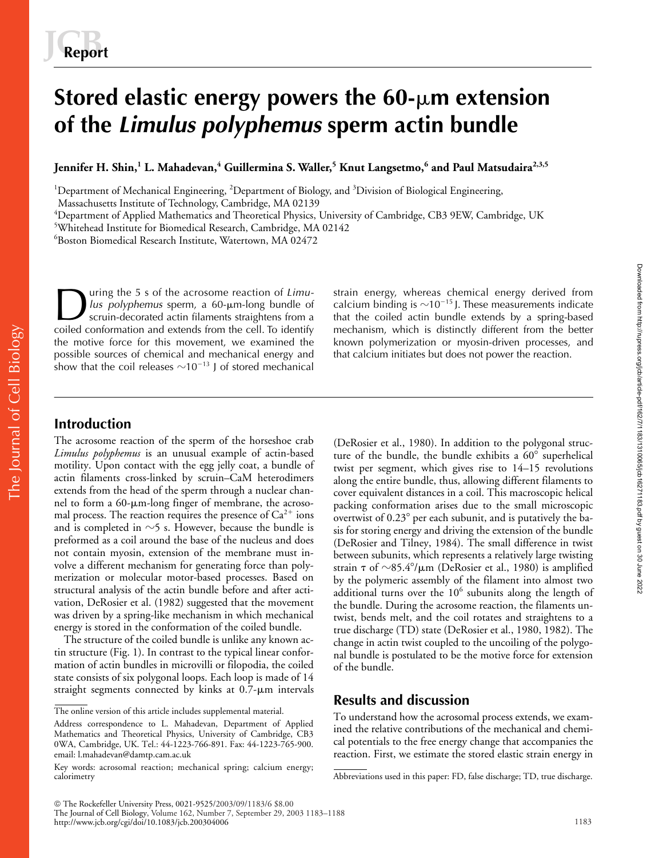# **Stored elastic energy powers the 60-** $\mu$ **m extension of the** *Limulus polyphemus* **sperm actin bundle**

**Jennifer H. Shin,<sup>1</sup> L. Mahadevan,<sup>4</sup> Guillermina S. Waller,<sup>5</sup> Knut Langsetmo,<sup>6</sup> and Paul Matsudaira2,3,5**

<sup>1</sup>Department of Mechanical Engineering, <sup>2</sup>Department of Biology, and <sup>3</sup>Division of Biological Engineering,

Massachusetts Institute of Technology, Cambridge, MA 02139

 ${\rm ^4}$ Department of Applied Mathematics and Theoretical Physics, University of Cambridge, CB3 9EW, Cambridge, UK

5 Whitehead Institute for Biomedical Research, Cambridge, MA 02142

6 Boston Biomedical Research Institute, Watertown, MA 02472

uring the 5 s of the acrosome reaction of *Limu*lus polyphemus sperm, a 60-µm-long bundle of scruin-decorated actin filaments straightens from a coiled conformation and extends from the cell. To identify the motive force for this movement, we examined the possible sources of chemical and mechanical energy and show that the coil releases  $\sim 10^{-13}$  J of stored mechanical **During the 5 s of the acrosome reaction of Limu-** strain energy, whereas chemical energy derived from<br>strain energy derived from<br>scruin-decorated actin filaments straightens from a<br>coiled conformation and extends from th

calcium binding is  $\sim$ 10<sup>-15</sup> J. These measurements indicate that the coiled actin bundle extends by a spring-based mechanism, which is distinctly different from the better known polymerization or myosin-driven processes, and that calcium initiates but does not power the reaction.

## **Introduction**

The Journal of Cell Biology

The Journal of Cell Biology

The acrosome reaction of the sperm of the horseshoe crab *Limulus polyphemus* is an unusual example of actin-based motility. Upon contact with the egg jelly coat, a bundle of actin filaments cross-linked by scruin–CaM heterodimers extends from the head of the sperm through a nuclear channel to form a 60-µm-long finger of membrane, the acrosomal process. The reaction requires the presence of  $Ca^{2+}$  ions and is completed in  ${\sim}5$  s. However, because the bundle is preformed as a coil around the base of the nucleus and does not contain myosin, extension of the membrane must involve a different mechanism for generating force than polymerization or molecular motor-based processes. Based on structural analysis of the actin bundle before and after activation, DeRosier et al. (1982) suggested that the movement was driven by a spring-like mechanism in which mechanical energy is stored in the conformation of the coiled bundle.

The structure of the coiled bundle is unlike any known actin structure (Fig. 1). In contrast to the typical linear conformation of actin bundles in microvilli or filopodia, the coiled state consists of six polygonal loops. Each loop is made of 14 straight segments connected by kinks at 0.7- $\mu$ m intervals

(DeRosier et al., 1980). In addition to the polygonal structure of the bundle, the bundle exhibits a  $60^\circ$  superhelical twist per segment, which gives rise to 14–15 revolutions along the entire bundle, thus, allowing different filaments to cover equivalent distances in a coil. This macroscopic helical packing conformation arises due to the small microscopic overtwist of  $0.23^{\circ}$  per each subunit, and is putatively the basis for storing energy and driving the extension of the bundle (DeRosier and Tilney, 1984). The small difference in twist between subunits, which represents a relatively large twisting strain  $\tau$  of  ${\sim}85.4^{\circ}/\mu$ m (DeRosier et al., 1980) is amplified by the polymeric assembly of the filament into almost two additional turns over the  $10^6$  subunits along the length of the bundle. During the acrosome reaction, the filaments untwist, bends melt, and the coil rotates and straightens to a true discharge (TD) state (DeRosier et al., 1980, 1982). The change in actin twist coupled to the uncoiling of the polygonal bundle is postulated to be the motive force for extension of the bundle.

## **Results and discussion**

To understand how the acrosomal process extends, we examined the relative contributions of the mechanical and chemical potentials to the free energy change that accompanies the reaction. First, we estimate the stored elastic strain energy in

The online version of this article includes supplemental material.

Address correspondence to L. Mahadevan, Department of Applied Mathematics and Theoretical Physics, University of Cambridge, CB3 0WA, Cambridge, UK. Tel.: 44-1223-766-891. Fax: 44-1223-765-900. email: l.mahadevan@damtp.cam.ac.uk

Key words: acrosomal reaction; mechanical spring; calcium energy; calorimetry Abbreviations used in this paper: FD, false discharge; TD, true discharge.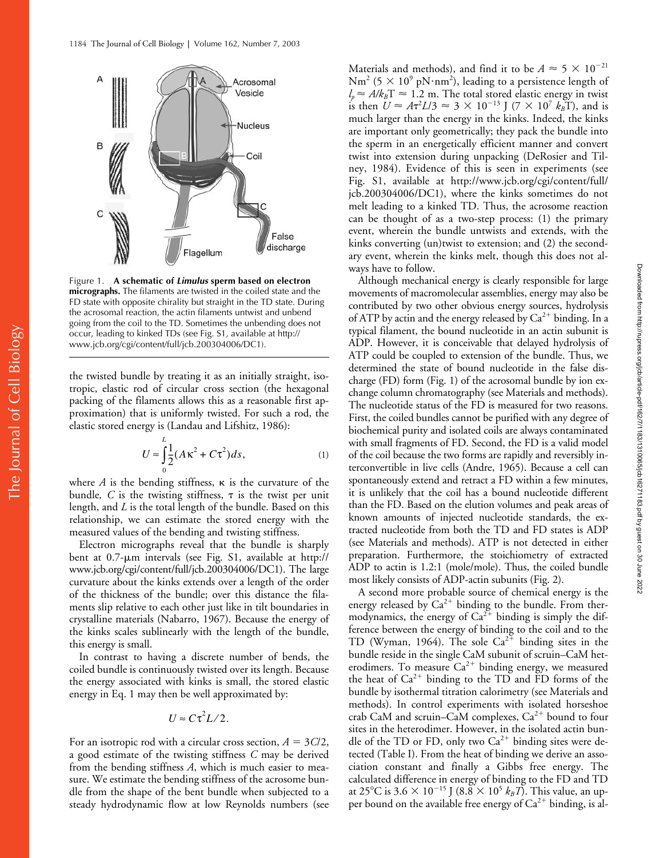

Figure 1. **A schematic of** *Limulus* **sperm based on electron micrographs.** The filaments are twisted in the coiled state and the FD state with opposite chirality but straight in the TD state. During the acrosomal reaction, the actin filaments untwist and unbend going from the coil to the TD. Sometimes the unbending does not occur, leading to kinked TDs (see Fig. S1, available at http:// www.jcb.org/cgi/content/full/jcb.200304006/DC1).

the twisted bundle by treating it as an initially straight, isotropic, elastic rod of circular cross section (the hexagonal packing of the filaments allows this as a reasonable first approximation) that is uniformly twisted. For such a rod, the elastic stored energy is (Landau and Lifshitz, 1986):

$$
U \approx \int_{0}^{L} \frac{1}{2} (A\kappa^2 + C\tau^2) ds,
$$
 (1)

where  $A$  is the bending stiffness,  $\kappa$  is the curvature of the bundle,  $C$  is the twisting stiffness,  $\tau$  is the twist per unit length, and *L* is the total length of the bundle. Based on this relationship, we can estimate the stored energy with the measured values of the bending and twisting stiffness.

Electron micrographs reveal that the bundle is sharply bent at 0.7-µm intervals (see Fig. S1, available at http:// www.jcb.org/cgi/content/full/jcb.200304006/DC1). The large curvature about the kinks extends over a length of the order of the thickness of the bundle; over this distance the filaments slip relative to each other just like in tilt boundaries in crystalline materials (Nabarro, 1967). Because the energy of the kinks scales sublinearly with the length of the bundle, this energy is small.

In contrast to having a discrete number of bends, the coiled bundle is continuously twisted over its length. Because the energy associated with kinks is small, the stored elastic energy in Eq. 1 may then be well approximated by:

$$
U \approx C \tau^2 L/2.
$$

For an isotropic rod with a circular cross section,  $A = 3C/2$ , a good estimate of the twisting stiffness *C* may be derived from the bending stiffness *A*, which is much easier to measure. We estimate the bending stiffness of the acrosome bundle from the shape of the bent bundle when subjected to a steady hydrodynamic flow at low Reynolds numbers (see

Materials and methods), and find it to be  $A \approx 5 \times 10^{-21}$  $\rm Nm^2$  (5  $\times$  10 $^9$  p $\rm N\cdot nm^2$ ), leading to a persistence length of  $l_p \approx A/k_B T \approx 1.2$  m. The total stored elastic energy in twist is then  $U \approx A\tau^2 L/3 \approx 3 \times 10^{-13}$  J (7  $\times 10^7$   $k_B$ T), and is much larger than the energy in the kinks. Indeed, the kinks are important only geometrically; they pack the bundle into the sperm in an energetically efficient manner and convert twist into extension during unpacking (DeRosier and Tilney, 1984). Evidence of this is seen in experiments (see Fig. S1, available at http://www.jcb.org/cgi/content/full/ jcb.200304006/DC1), where the kinks sometimes do not melt leading to a kinked TD. Thus, the acrosome reaction can be thought of as a two-step process: (1) the primary event, wherein the bundle untwists and extends, with the kinks converting (un)twist to extension; and (2) the secondary event, wherein the kinks melt, though this does not always have to follow.

Although mechanical energy is clearly responsible for large movements of macromolecular assemblies, energy may also be contributed by two other obvious energy sources, hydrolysis of ATP by actin and the energy released by  $Ca^{2+}$  binding. In a typical filament, the bound nucleotide in an actin subunit is ADP. However, it is conceivable that delayed hydrolysis of ATP could be coupled to extension of the bundle. Thus, we determined the state of bound nucleotide in the false discharge (FD) form (Fig. 1) of the acrosomal bundle by ion exchange column chromatography (see Materials and methods). The nucleotide status of the FD is measured for two reasons. First, the coiled bundles cannot be purified with any degree of biochemical purity and isolated coils are always contaminated with small fragments of FD. Second, the FD is a valid model of the coil because the two forms are rapidly and reversibly interconvertible in live cells (Andre, 1965). Because a cell can spontaneously extend and retract a FD within a few minutes, it is unlikely that the coil has a bound nucleotide different than the FD. Based on the elution volumes and peak areas of known amounts of injected nucleotide standards, the extracted nucleotide from both the TD and FD states is ADP (see Materials and methods). ATP is not detected in either preparation. Furthermore, the stoichiometry of extracted ADP to actin is 1.2:1 (mole/mole). Thus, the coiled bundle most likely consists of ADP-actin subunits (Fig. 2).

A second more probable source of chemical energy is the energy released by  $Ca^{2+}$  binding to the bundle. From thermodynamics, the energy of  $Ca^{2+}$  binding is simply the difference between the energy of binding to the coil and to the TD (Wyman, 1964). The sole  $Ca^{2+}$  binding sites in the bundle reside in the single CaM subunit of scruin–CaM heterodimers. To measure  $Ca^{2+}$  binding energy, we measured the heat of  $Ca^{2+}$  binding to the TD and FD forms of the bundle by isothermal titration calorimetry (see Materials and methods). In control experiments with isolated horseshoe crab CaM and scruin–CaM complexes,  $Ca^{2+}$  bound to four sites in the heterodimer. However, in the isolated actin bundle of the TD or FD, only two  $Ca^{2+}$  binding sites were detected (Table I). From the heat of binding we derive an association constant and finally a Gibbs free energy. The calculated difference in energy of binding to the FD and TD at 25°C is 3.6  $\times$  10<sup>-15</sup> J (8.8  $\times$  10<sup>5</sup>  $k_B T$ ). This value, an upper bound on the available free energy of  $Ca^{2+}$  binding, is al-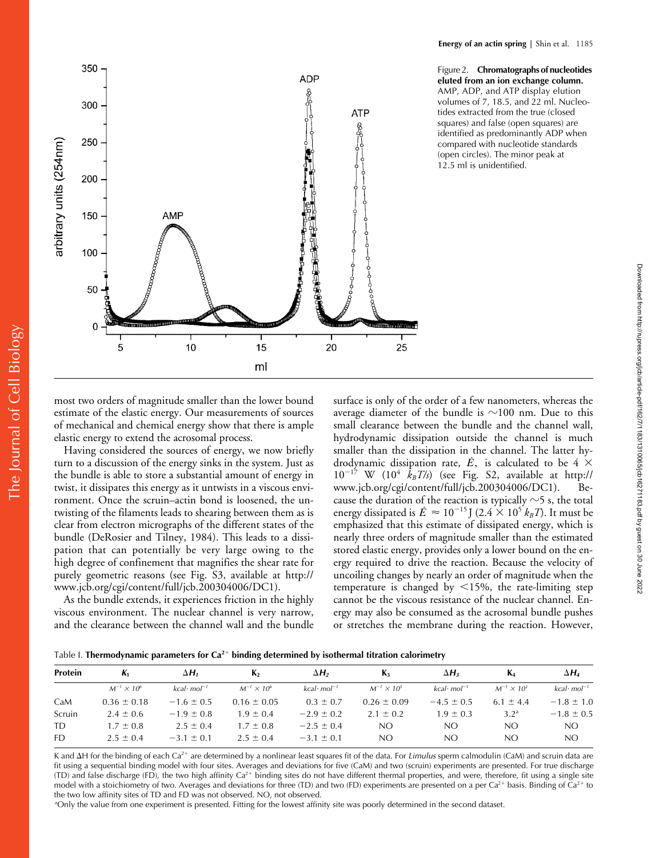Figure 2. **Chromatographs of nucleotides eluted from an ion exchange column.** AMP, ADP, and ATP display elution volumes of 7, 18.5, and 22 ml. Nucleotides extracted from the true (closed squares) and false (open squares) are identified as predominantly ADP when compared with nucleotide standards (open circles). The minor peak at 12.5 ml is unidentified.



most two orders of magnitude smaller than the lower bound estimate of the elastic energy. Our measurements of sources of mechanical and chemical energy show that there is ample elastic energy to extend the acrosomal process.

Having considered the sources of energy, we now briefly turn to a discussion of the energy sinks in the system. Just as the bundle is able to store a substantial amount of energy in twist, it dissipates this energy as it untwists in a viscous environment. Once the scruin–actin bond is loosened, the untwisting of the filaments leads to shearing between them as is clear from electron micrographs of the different states of the bundle (DeRosier and Tilney, 1984). This leads to a dissipation that can potentially be very large owing to the high degree of confinement that magnifies the shear rate for purely geometric reasons (see Fig. S3, available at http:// www.jcb.org/cgi/content/full/jcb.200304006/DC1).

As the bundle extends, it experiences friction in the highly viscous environment. The nuclear channel is very narrow, and the clearance between the channel wall and the bundle

surface is only of the order of a few nanometers, whereas the average diameter of the bundle is  ${\sim}100$  nm. Due to this small clearance between the bundle and the channel wall, hydrodynamic dissipation outside the channel is much smaller than the dissipation in the channel. The latter hydrodynamic dissipation rate,  $\dot{E}$ , is calculated to be 4  $\times$  $10^{-17}$  W  $(10^4$   $\vec{k}_B T/s)$  (see Fig. S2, available at http:// www.jcb.org/cgi/content/full/jcb.200304006/DC1). Because the duration of the reaction is typically  $\sim$ 5 s, the total energy dissipated is  $\dot{E} \approx 10^{-15}$  J (2.4  $\times$  10<sup>5</sup>  $k_B T$ ). It must be emphasized that this estimate of dissipated energy, which is nearly three orders of magnitude smaller than the estimated stored elastic energy, provides only a lower bound on the energy required to drive the reaction. Because the velocity of uncoiling changes by nearly an order of magnitude when the temperature is changed by  $\leq 15\%$ , the rate-limiting step cannot be the viscous resistance of the nuclear channel. Energy may also be consumed as the acrosomal bundle pushes or stretches the membrane during the reaction. However,

Table I. **Thermodynamic parameters for Ca2 binding determined by isothermal titration calorimetry**

| Protein | К.                     | ΔН.                      | К,                     | $\Delta H_2$             | $K_{2}$              | $\Delta H_2$             | $\mathbf{K}_{4}$     | $\Delta H_a$             |
|---------|------------------------|--------------------------|------------------------|--------------------------|----------------------|--------------------------|----------------------|--------------------------|
|         | $M^{-1} \times 10^{6}$ | $kcal$ mol <sup>-1</sup> | $M^{-1} \times 10^{6}$ | $kcal$ mol <sup>-1</sup> | $M^{-1} \times 10^5$ | $kcal$ mol <sup>-1</sup> | $M^{-1} \times 10^3$ | $kcal$ mol <sup>-1</sup> |
| CaM     | $0.36 \pm 0.18$        | $-1.6 \pm 0.5$           | $0.16 \pm 0.05$        | $0.3 \pm 0.7$            | $0.26 \pm 0.09$      | $-4.5 \pm 0.5$           | $6.1 \pm 4.4$        | $-1.8 \pm 1.0$           |
| Scruin  | $2.4 \pm 0.6$          | $-1.9 \pm 0.8$           | $1.9 \pm 0.4$          | $-2.9 \pm 0.2$           | $2.1 \pm 0.2$        | $1.9 \pm 0.3$            | 3.2 <sup>a</sup>     | $-1.8 \pm 0.5$           |
| TD      | $1.7 \pm 0.8$          | $2.5 \pm 0.4$            | $1.7 \pm 0.8$          | $-2.5 \pm 0.4$           | NO.                  | NO                       | NO.                  | NO.                      |
| FD.     | $2.5 \pm 0.4$          | $-3.1 \pm 0.1$           | $2.5 \pm 0.4$          | $-3.1 \pm 0.1$           | NO.                  | NO.                      | NO.                  | NO.                      |
|         |                        |                          |                        |                          |                      |                          |                      |                          |

K and  $\Delta H$  for the binding of each Ca<sup>2+</sup> are determined by a nonlinear least squares fit of the data. For *Limulus* sperm calmodulin (CaM) and scruin data are fit using a sequential binding model with four sites. Averages and deviations for five (CaM) and two (scruin) experiments are presented. For true discharge (TD) and false discharge (FD), the two high affinity Ca<sup>2+</sup> binding sites do not have different thermal properties, and were, therefore, fit using a single site model with a stoichiometry of two. Averages and deviations for three (TD) and two (FD) experiments are presented on a per  $Ca^{2+}$  basis. Binding of  $Ca^{2+}$  to the two low affinity sites of TD and FD was not observed. NO, not observed.

a Only the value from one experiment is presented. Fitting for the lowest affinity site was poorly determined in the second dataset.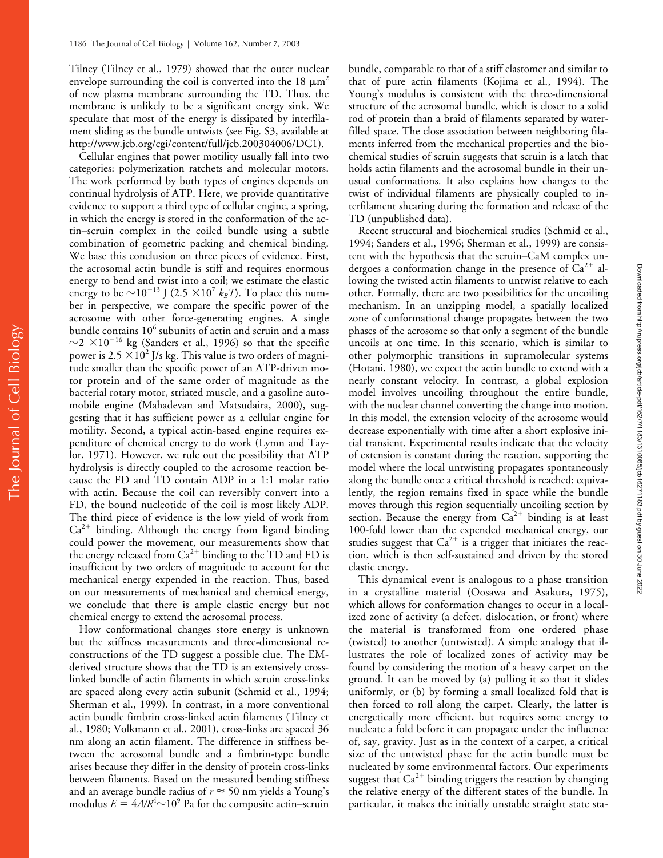Tilney (Tilney et al., 1979) showed that the outer nuclear envelope surrounding the coil is converted into the 18  $\mu$ m<sup>2</sup> of new plasma membrane surrounding the TD. Thus, the membrane is unlikely to be a significant energy sink. We speculate that most of the energy is dissipated by interfilament sliding as the bundle untwists (see Fig. S3, available at http://www.jcb.org/cgi/content/full/jcb.200304006/DC1).

Cellular engines that power motility usually fall into two categories: polymerization ratchets and molecular motors. The work performed by both types of engines depends on continual hydrolysis of ATP. Here, we provide quantitative evidence to support a third type of cellular engine, a spring, in which the energy is stored in the conformation of the actin–scruin complex in the coiled bundle using a subtle combination of geometric packing and chemical binding. We base this conclusion on three pieces of evidence. First, the acrosomal actin bundle is stiff and requires enormous energy to bend and twist into a coil; we estimate the elastic energy to be  $\sim 10^{-13}$  J (2.5  $\times 10^7$   $k_B T$ ). To place this number in perspective, we compare the specific power of the acrosome with other force-generating engines. A single bundle contains 10<sup>6</sup> subunits of actin and scruin and a mass  $\sim$ 2  $\times$ 10<sup>-16</sup> kg (Sanders et al., 1996) so that the specific power is 2.5  $\times$ 10<sup>2</sup> J/s kg. This value is two orders of magnitude smaller than the specific power of an ATP-driven motor protein and of the same order of magnitude as the bacterial rotary motor, striated muscle, and a gasoline automobile engine (Mahadevan and Matsudaira, 2000), suggesting that it has sufficient power as a cellular engine for motility. Second, a typical actin-based engine requires expenditure of chemical energy to do work (Lymn and Taylor, 1971). However, we rule out the possibility that ATP hydrolysis is directly coupled to the acrosome reaction because the FD and TD contain ADP in a 1:1 molar ratio with actin. Because the coil can reversibly convert into a FD, the bound nucleotide of the coil is most likely ADP. The third piece of evidence is the low yield of work from  $Ca<sup>2+</sup>$  binding. Although the energy from ligand binding could power the movement, our measurements show that the energy released from  $Ca^{2+}$  binding to the TD and FD is insufficient by two orders of magnitude to account for the mechanical energy expended in the reaction. Thus, based on our measurements of mechanical and chemical energy, we conclude that there is ample elastic energy but not chemical energy to extend the acrosomal process.

How conformational changes store energy is unknown but the stiffness measurements and three-dimensional reconstructions of the TD suggest a possible clue. The EMderived structure shows that the TD is an extensively crosslinked bundle of actin filaments in which scruin cross-links are spaced along every actin subunit (Schmid et al., 1994; Sherman et al., 1999). In contrast, in a more conventional actin bundle fimbrin cross-linked actin filaments (Tilney et al., 1980; Volkmann et al., 2001), cross-links are spaced 36 nm along an actin filament. The difference in stiffness between the acrosomal bundle and a fimbrin-type bundle arises because they differ in the density of protein cross-links between filaments. Based on the measured bending stiffness and an average bundle radius of  $r \approx$  50 nm yields a Young's modulus  $E = 4A/R<sup>4</sup> \sim 10<sup>9</sup>$  Pa for the composite actin–scruin

bundle, comparable to that of a stiff elastomer and similar to that of pure actin filaments (Kojima et al., 1994). The Young's modulus is consistent with the three-dimensional structure of the acrosomal bundle, which is closer to a solid rod of protein than a braid of filaments separated by waterfilled space. The close association between neighboring filaments inferred from the mechanical properties and the biochemical studies of scruin suggests that scruin is a latch that holds actin filaments and the acrosomal bundle in their unusual conformations. It also explains how changes to the twist of individual filaments are physically coupled to interfilament shearing during the formation and release of the TD (unpublished data).

Recent structural and biochemical studies (Schmid et al., 1994; Sanders et al., 1996; Sherman et al., 1999) are consistent with the hypothesis that the scruin–CaM complex undergoes a conformation change in the presence of  $Ca^{2+}$  allowing the twisted actin filaments to untwist relative to each other. Formally, there are two possibilities for the uncoiling mechanism. In an unzipping model, a spatially localized zone of conformational change propagates between the two phases of the acrosome so that only a segment of the bundle uncoils at one time. In this scenario, which is similar to other polymorphic transitions in supramolecular systems (Hotani, 1980), we expect the actin bundle to extend with a nearly constant velocity. In contrast, a global explosion model involves uncoiling throughout the entire bundle, with the nuclear channel converting the change into motion. In this model, the extension velocity of the acrosome would decrease exponentially with time after a short explosive initial transient. Experimental results indicate that the velocity of extension is constant during the reaction, supporting the model where the local untwisting propagates spontaneously along the bundle once a critical threshold is reached; equivalently, the region remains fixed in space while the bundle moves through this region sequentially uncoiling section by section. Because the energy from  $Ca^{2+}$  binding is at least 100-fold lower than the expended mechanical energy, our studies suggest that  $Ca^{2+}$  is a trigger that initiates the reaction, which is then self-sustained and driven by the stored elastic energy.

This dynamical event is analogous to a phase transition in a crystalline material (Oosawa and Asakura, 1975), which allows for conformation changes to occur in a localized zone of activity (a defect, dislocation, or front) where the material is transformed from one ordered phase (twisted) to another (untwisted). A simple analogy that illustrates the role of localized zones of activity may be found by considering the motion of a heavy carpet on the ground. It can be moved by (a) pulling it so that it slides uniformly, or (b) by forming a small localized fold that is then forced to roll along the carpet. Clearly, the latter is energetically more efficient, but requires some energy to nucleate a fold before it can propagate under the influence of, say, gravity. Just as in the context of a carpet, a critical size of the untwisted phase for the actin bundle must be nucleated by some environmental factors. Our experiments suggest that  $Ca^{2+}$  binding triggers the reaction by changing the relative energy of the different states of the bundle. In particular, it makes the initially unstable straight state sta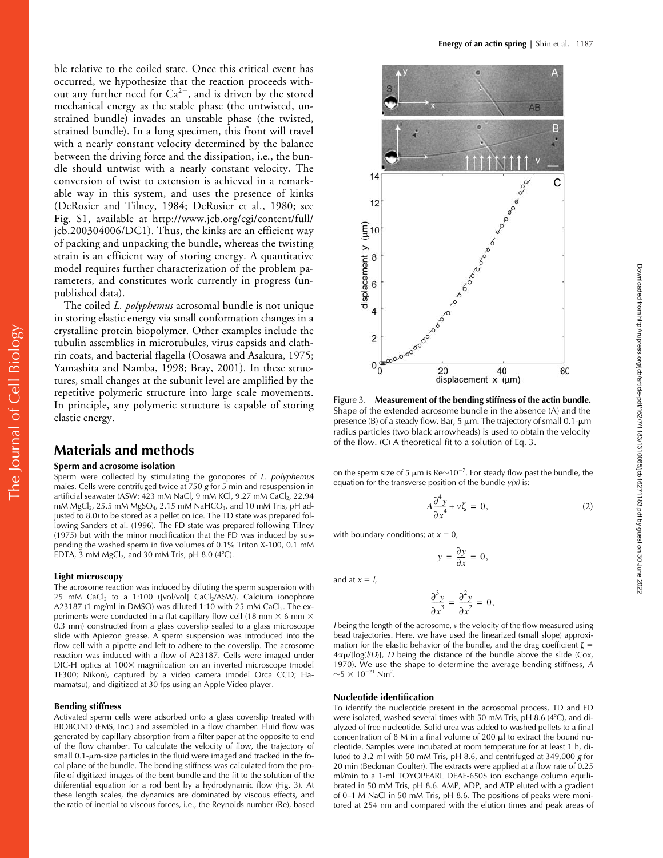The Journal of Cell Biology

The Journal of Cell Biology

ble relative to the coiled state. Once this critical event has occurred, we hypothesize that the reaction proceeds without any further need for  $Ca^{2+}$ , and is driven by the stored mechanical energy as the stable phase (the untwisted, unstrained bundle) invades an unstable phase (the twisted, strained bundle). In a long specimen, this front will travel with a nearly constant velocity determined by the balance between the driving force and the dissipation, i.e., the bundle should untwist with a nearly constant velocity. The conversion of twist to extension is achieved in a remarkable way in this system, and uses the presence of kinks (DeRosier and Tilney, 1984; DeRosier et al., 1980; see Fig. S1, available at http://www.jcb.org/cgi/content/full/ jcb.200304006/DC1). Thus, the kinks are an efficient way of packing and unpacking the bundle, whereas the twisting strain is an efficient way of storing energy. A quantitative model requires further characterization of the problem parameters, and constitutes work currently in progress (unpublished data).

The coiled *L. polyphemus* acrosomal bundle is not unique in storing elastic energy via small conformation changes in a crystalline protein biopolymer. Other examples include the tubulin assemblies in microtubules, virus capsids and clathrin coats, and bacterial flagella (Oosawa and Asakura, 1975; Yamashita and Namba, 1998; Bray, 2001). In these structures, small changes at the subunit level are amplified by the repetitive polymeric structure into large scale movements. In principle, any polymeric structure is capable of storing elastic energy.

## **Materials and methods**

#### **Sperm and acrosome isolation**

Sperm were collected by stimulating the gonopores of *L. polyphemus* males. Cells were centrifuged twice at 750 *g* for 5 min and resuspension in artificial seawater (ASW: 423 mM NaCl, 9 mM KCl, 9.27 mM CaCl<sub>2</sub>, 22.94 mM MgCl<sub>2</sub>, 25.5 mM MgSO<sub>4</sub>, 2.15 mM NaHCO<sub>3</sub>, and 10 mM Tris, pH adjusted to 8.0) to be stored as a pellet on ice. The TD state was prepared following Sanders et al. (1996). The FD state was prepared following Tilney (1975) but with the minor modification that the FD was induced by suspending the washed sperm in five volumes of 0.1% Triton X-100, 0.1 mM EDTA,  $\bar{3}$  mM MgCl<sub>2</sub>, and 30 mM Tris, pH 8.0 (4°C).

#### **Light microscopy**

The acrosome reaction was induced by diluting the sperm suspension with 25 mM  $CaCl<sub>2</sub>$  to a 1:100 ([vol/vol]  $CaCl<sub>2</sub>/ASW$ ). Calcium ionophore A23187 (1 mg/ml in DMSO) was diluted 1:10 with 25 mM CaCl<sub>2</sub>. The experiments were conducted in a flat capillary flow cell (18 mm  $\times$  6 mm  $\times$ 0.3 mm) constructed from a glass coverslip sealed to a glass microscope slide with Apiezon grease. A sperm suspension was introduced into the flow cell with a pipette and left to adhere to the coverslip. The acrosome reaction was induced with a flow of A23187. Cells were imaged under DIC-H optics at 100× magnification on an inverted microscope (model TE300; Nikon), captured by a video camera (model Orca CCD; Hamamatsu), and digitized at 30 fps using an Apple Video player.

#### **Bending stiffness**

Activated sperm cells were adsorbed onto a glass coverslip treated with BIOBOND (EMS, Inc.) and assembled in a flow chamber. Fluid flow was generated by capillary absorption from a filter paper at the opposite to end of the flow chamber. To calculate the velocity of flow, the trajectory of small 0.1-µm-size particles in the fluid were imaged and tracked in the focal plane of the bundle. The bending stiffness was calculated from the profile of digitized images of the bent bundle and the fit to the solution of the differential equation for a rod bent by a hydrodynamic flow (Fig. 3). At these length scales, the dynamics are dominated by viscous effects, and the ratio of inertial to viscous forces, i.e., the Reynolds number (Re), based



Figure 3. **Measurement of the bending stiffness of the actin bundle.** Shape of the extended acrosome bundle in the absence (A) and the presence (B) of a steady flow. Bar, 5  $\mu$ m. The trajectory of small 0.1- $\mu$ m radius particles (two black arrowheads) is used to obtain the velocity of the flow. (C) A theoretical fit to a solution of Eq. 3.

on the sperm size of 5  $\mu$ m is Re $\sim$ 10<sup>-7</sup>. For steady flow past the bundle, the equation for the transverse position of the bundle *y(x)* is:

$$
A\frac{\partial^4 y}{\partial x^4} + v\zeta = 0,\tag{2}
$$

Downloaded from http://rupress.org/jcb/article-pdf/162/7/1183/1310065/jcb16271183.pdf by guest on 30 June 2022

Downloaded from http://rupress.org/jcb/article-pdf/162/7/1183/1310065/jcb16271183.pdf by guest on 30 June 2022

with boundary conditions; at  $x = 0$ ,

$$
y = \frac{\partial y}{\partial x} = 0,
$$

and at  $x = l$ ,

$$
\frac{\partial^3 y}{\partial x^3} = \frac{\partial^2 y}{\partial x^2} = 0,
$$

*l* being the length of the acrosome, *v* the velocity of the flow measured using bead trajectories. Here, we have used the linearized (small slope) approximation for the elastic behavior of the bundle, and the drag coefficient  $\zeta$  = 4-/[log(*l*/*D*)], *D* being the distance of the bundle above the slide (Cox, 1970). We use the shape to determine the average bending stiffness, *A*  $\sim$ 5  $\times$  10<sup>-21</sup> Nm<sup>2</sup>.

#### **Nucleotide identification**

To identify the nucleotide present in the acrosomal process, TD and FD were isolated, washed several times with 50 mM Tris, pH 8.6 (4°C), and dialyzed of free nucleotide. Solid urea was added to washed pellets to a final concentration of 8 M in a final volume of 200  $\mu$ l to extract the bound nucleotide. Samples were incubated at room temperature for at least 1 h, diluted to 3.2 ml with 50 mM Tris, pH 8.6, and centrifuged at 349,000 *g* for 20 min (Beckman Coulter). The extracts were applied at a flow rate of 0.25 ml/min to a 1-ml TOYOPEARL DEAE-650S ion exchange column equilibrated in 50 mM Tris, pH 8.6. AMP, ADP, and ATP eluted with a gradient of 0–1 M NaCl in 50 mM Tris, pH 8.6. The positions of peaks were monitored at 254 nm and compared with the elution times and peak areas of